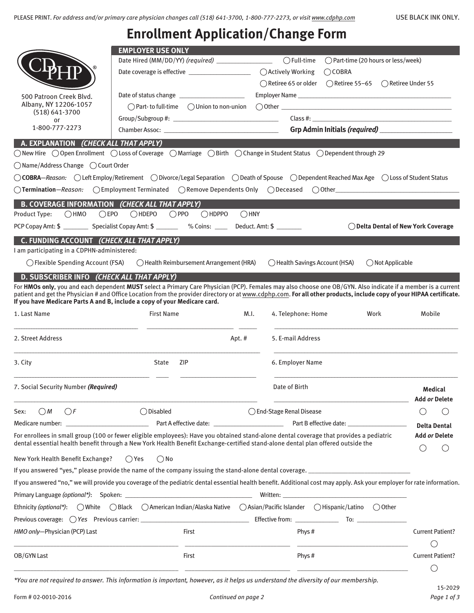## **Enrollment Application/Change Form**

|                                                       | <b>EMPLOYER USE ONLY</b>                                                                                                                                                                                                                                                                                                                                                                                          |                                 |                                                                                                                                                                                                                               |                         |  |  |  |
|-------------------------------------------------------|-------------------------------------------------------------------------------------------------------------------------------------------------------------------------------------------------------------------------------------------------------------------------------------------------------------------------------------------------------------------------------------------------------------------|---------------------------------|-------------------------------------------------------------------------------------------------------------------------------------------------------------------------------------------------------------------------------|-------------------------|--|--|--|
|                                                       | Date Hired (MM/DD/YY) (required) _____________________                                                                                                                                                                                                                                                                                                                                                            | $\bigcap$ Full-time             | ◯ Part-time (20 hours or less/week)                                                                                                                                                                                           |                         |  |  |  |
|                                                       | Date coverage is effective ______________________                                                                                                                                                                                                                                                                                                                                                                 | ○ Actively Working              | $\bigcirc$ COBRA                                                                                                                                                                                                              |                         |  |  |  |
|                                                       |                                                                                                                                                                                                                                                                                                                                                                                                                   | $\bigcap$ Retiree 65 or older   | $\bigcap$ Retiree 55–65 $\bigcap$ Retiree Under 55                                                                                                                                                                            |                         |  |  |  |
| 500 Patroon Creek Blvd.                               | Date of status change ______________________                                                                                                                                                                                                                                                                                                                                                                      |                                 |                                                                                                                                                                                                                               |                         |  |  |  |
| Albany, NY 12206-1057                                 |                                                                                                                                                                                                                                                                                                                                                                                                                   |                                 |                                                                                                                                                                                                                               |                         |  |  |  |
| $(518) 641 - 3700$<br>or                              |                                                                                                                                                                                                                                                                                                                                                                                                                   |                                 |                                                                                                                                                                                                                               |                         |  |  |  |
| 1-800-777-2273                                        |                                                                                                                                                                                                                                                                                                                                                                                                                   |                                 |                                                                                                                                                                                                                               |                         |  |  |  |
| A. EXPLANATION (CHECK ALL THAT APPLY)                 |                                                                                                                                                                                                                                                                                                                                                                                                                   |                                 |                                                                                                                                                                                                                               |                         |  |  |  |
|                                                       | $\bigcirc$ New Hire $\bigcirc$ Open Enrollment $\bigcirc$ Loss of Coverage $\bigcirc$ Marriage $\bigcirc$ Birth $\bigcirc$ Change in Student Status $\bigcirc$ Dependent through 29                                                                                                                                                                                                                               |                                 |                                                                                                                                                                                                                               |                         |  |  |  |
| $\bigcirc$ Name/Address Change $\bigcirc$ Court Order |                                                                                                                                                                                                                                                                                                                                                                                                                   |                                 |                                                                                                                                                                                                                               |                         |  |  |  |
|                                                       | ○ COBRA-Reason: ○ Left Employ/Retirement ○ Divorce/Legal Separation ○ Death of Spouse ○ Dependent Reached Max Age ○ Loss of Student Status                                                                                                                                                                                                                                                                        |                                 |                                                                                                                                                                                                                               |                         |  |  |  |
|                                                       | $\bigcirc$ Termination—Reason: $\bigcirc$ Employment Terminated $\bigcirc$ Remove Dependents Only $\bigcirc$ Deceased $\bigcirc$ Other                                                                                                                                                                                                                                                                            |                                 |                                                                                                                                                                                                                               |                         |  |  |  |
| B. COVERAGE INFORMATION (CHECK ALL THAT APPLY)        |                                                                                                                                                                                                                                                                                                                                                                                                                   |                                 |                                                                                                                                                                                                                               |                         |  |  |  |
| $\bigcap HMO$<br>$\bigcirc$ EPO<br>Product Type:      | $\bigcap$ HDPPO<br>$\bigcap HDEPO$<br>$\bigcirc$ PPO<br>$\bigcirc$ HNY                                                                                                                                                                                                                                                                                                                                            |                                 |                                                                                                                                                                                                                               |                         |  |  |  |
|                                                       | PCP Copay Amt: \$ _____________ Specialist Copay Amt: \$ ___________ % Coins: ________ Deduct. Amt: \$ ________                                                                                                                                                                                                                                                                                                   |                                 | ◯ Delta Dental of New York Coverage                                                                                                                                                                                           |                         |  |  |  |
| C. FUNDING ACCOUNT (CHECK ALL THAT APPLY)             |                                                                                                                                                                                                                                                                                                                                                                                                                   |                                 |                                                                                                                                                                                                                               |                         |  |  |  |
| I am participating in a CDPHN-administered:           |                                                                                                                                                                                                                                                                                                                                                                                                                   |                                 |                                                                                                                                                                                                                               |                         |  |  |  |
| ( ) Flexible Spending Account (FSA)                   | $\bigcap$ Health Reimbursement Arrangement (HRA)                                                                                                                                                                                                                                                                                                                                                                  | () Health Savings Account (HSA) | $\bigcirc$ Not Applicable                                                                                                                                                                                                     |                         |  |  |  |
| D. SUBSCRIBER INFO (CHECK ALL THAT APPLY)             |                                                                                                                                                                                                                                                                                                                                                                                                                   |                                 |                                                                                                                                                                                                                               |                         |  |  |  |
|                                                       | For HMOs only, you and each dependent MUST select a Primary Care Physician (PCP). Females may also choose one OB/GYN. Also indicate if a member is a current<br>patient and get the Physician # and Office Location from the provider directory or at www.cdphp.com. For all other products, include copy of your HIPAA certificate.<br>If you have Medicare Parts A and B, include a copy of your Medicare card. |                                 |                                                                                                                                                                                                                               |                         |  |  |  |
| 1. Last Name                                          | <b>First Name</b><br>M.I.                                                                                                                                                                                                                                                                                                                                                                                         | 4. Telephone: Home              | Work                                                                                                                                                                                                                          | Mobile                  |  |  |  |
|                                                       |                                                                                                                                                                                                                                                                                                                                                                                                                   |                                 |                                                                                                                                                                                                                               |                         |  |  |  |
| 2. Street Address                                     | Apt. #                                                                                                                                                                                                                                                                                                                                                                                                            | 5. E-mail Address               |                                                                                                                                                                                                                               |                         |  |  |  |
| 3. City                                               | <b>State</b><br>ZIP                                                                                                                                                                                                                                                                                                                                                                                               | 6. Employer Name                |                                                                                                                                                                                                                               |                         |  |  |  |
| 7. Social Security Number (Required)                  |                                                                                                                                                                                                                                                                                                                                                                                                                   | Date of Birth                   |                                                                                                                                                                                                                               | <b>Medical</b>          |  |  |  |
|                                                       |                                                                                                                                                                                                                                                                                                                                                                                                                   |                                 |                                                                                                                                                                                                                               | Add <i>or</i> Delete    |  |  |  |
| OM<br>()F<br>Sex:                                     | $\bigcirc$ Disabled                                                                                                                                                                                                                                                                                                                                                                                               |                                 | ◯ End-Stage Renal Disease                                                                                                                                                                                                     |                         |  |  |  |
| Medicare number: New York 2014                        |                                                                                                                                                                                                                                                                                                                                                                                                                   |                                 |                                                                                                                                                                                                                               |                         |  |  |  |
|                                                       | For enrollees in small group (100 or fewer eligible employees): Have you obtained stand-alone dental coverage that provides a pediatric<br>dental essential health benefit through a New York Health Benefit Exchange-certified stand-alone dental plan offered outside the                                                                                                                                       |                                 |                                                                                                                                                                                                                               | Add <i>or</i> Delete    |  |  |  |
| New York Health Benefit Exchange?                     | $\bigcirc$ Yes<br>$\bigcirc$ No                                                                                                                                                                                                                                                                                                                                                                                   |                                 |                                                                                                                                                                                                                               |                         |  |  |  |
|                                                       | If you answered "yes," please provide the name of the company issuing the stand-alone dental coverage. ________________________________                                                                                                                                                                                                                                                                           |                                 |                                                                                                                                                                                                                               |                         |  |  |  |
|                                                       | If you answered "no," we will provide you coverage of the pediatric dental essential health benefit. Additional cost may apply. Ask your employer for rate information.                                                                                                                                                                                                                                           |                                 |                                                                                                                                                                                                                               |                         |  |  |  |
|                                                       |                                                                                                                                                                                                                                                                                                                                                                                                                   |                                 | Written: when the contract of the contract of the contract of the contract of the contract of the contract of the contract of the contract of the contract of the contract of the contract of the contract of the contract of |                         |  |  |  |
|                                                       | Ethnicity (optional*): $\bigcirc$ White $\bigcirc$ Black $\bigcirc$ American Indian/Alaska Native $\bigcirc$ Asian/Pacific Islander $\bigcirc$ Hispanic/Latino $\bigcirc$ Other                                                                                                                                                                                                                                   |                                 |                                                                                                                                                                                                                               |                         |  |  |  |
|                                                       |                                                                                                                                                                                                                                                                                                                                                                                                                   |                                 |                                                                                                                                                                                                                               |                         |  |  |  |
| HMO only-Physician (PCP) Last                         | First                                                                                                                                                                                                                                                                                                                                                                                                             | Phys #                          |                                                                                                                                                                                                                               | <b>Current Patient?</b> |  |  |  |
|                                                       |                                                                                                                                                                                                                                                                                                                                                                                                                   |                                 |                                                                                                                                                                                                                               |                         |  |  |  |
| OB/GYN Last                                           | First                                                                                                                                                                                                                                                                                                                                                                                                             | Phys #                          |                                                                                                                                                                                                                               | <b>Current Patient?</b> |  |  |  |
|                                                       |                                                                                                                                                                                                                                                                                                                                                                                                                   |                                 |                                                                                                                                                                                                                               |                         |  |  |  |
|                                                       | *You are not required to answer. This information is important, however, as it helps us understand the diversity of our membership.                                                                                                                                                                                                                                                                               |                                 |                                                                                                                                                                                                                               |                         |  |  |  |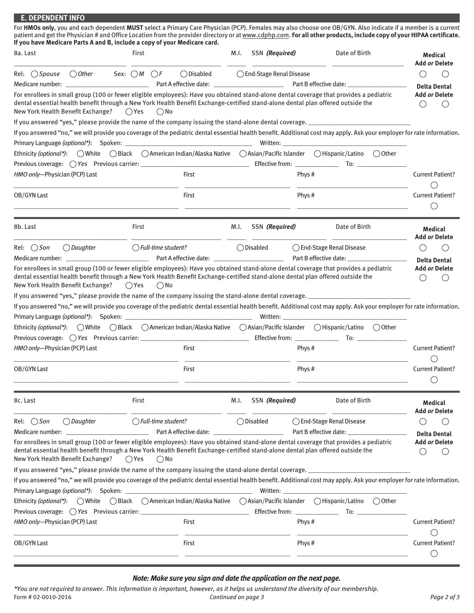| <b>E. DEPENDENT INFO</b>                                                                                                                                                                                                                                                                                                                                                                                          |                                 |                                                  |      |                           |        |                           |                                                                                |
|-------------------------------------------------------------------------------------------------------------------------------------------------------------------------------------------------------------------------------------------------------------------------------------------------------------------------------------------------------------------------------------------------------------------|---------------------------------|--------------------------------------------------|------|---------------------------|--------|---------------------------|--------------------------------------------------------------------------------|
| For HMOs only, you and each dependent MUST select a Primary Care Physician (PCP). Females may also choose one OB/GYN. Also indicate if a member is a current<br>patient and get the Physician # and Office Location from the provider directory or at www.cdphp.com. For all other products, include copy of your HIPAA certificate.<br>If you have Medicare Parts A and B, include a copy of your Medicare card. |                                 |                                                  |      |                           |        |                           |                                                                                |
| 8a. Last                                                                                                                                                                                                                                                                                                                                                                                                          | First                           |                                                  | M.I. | SSN (Required)            |        | Date of Birth             | <b>Medical</b>                                                                 |
|                                                                                                                                                                                                                                                                                                                                                                                                                   |                                 |                                                  |      |                           |        |                           | <b>Add or Delete</b>                                                           |
| Rel: $\bigcirc$ <i>Spouse</i><br>$\bigcirc$ Other                                                                                                                                                                                                                                                                                                                                                                 | Sex: $\bigcirc M$ $\bigcirc F$  | $\bigcirc$ Disabled                              |      | ◯ End-Stage Renal Disease |        |                           | $\left( \begin{array}{c} \end{array} \right)$<br>( )                           |
| For enrollees in small group (100 or fewer eligible employees): Have you obtained stand-alone dental coverage that provides a pediatric                                                                                                                                                                                                                                                                           |                                 |                                                  |      |                           |        |                           | <b>Delta Dental</b><br><b>Add or Delete</b>                                    |
| dental essential health benefit through a New York Health Benefit Exchange-certified stand-alone dental plan offered outside the                                                                                                                                                                                                                                                                                  |                                 |                                                  |      |                           |        |                           | ( )<br>$($ )                                                                   |
| New York Health Benefit Exchange? ○ Yes                                                                                                                                                                                                                                                                                                                                                                           | $()$ No                         |                                                  |      |                           |        |                           |                                                                                |
| If you answered "yes," please provide the name of the company issuing the stand-alone dental coverage. _______________________________                                                                                                                                                                                                                                                                            |                                 |                                                  |      |                           |        |                           |                                                                                |
| If you answered "no," we will provide you coverage of the pediatric dental essential health benefit. Additional cost may apply. Ask your employer for rate information.                                                                                                                                                                                                                                           |                                 |                                                  |      |                           |        |                           |                                                                                |
|                                                                                                                                                                                                                                                                                                                                                                                                                   |                                 |                                                  |      |                           |        |                           |                                                                                |
| Ethnicity (optional*): ○ White ○ Black ○ American Indian/Alaska Native ○ Asian/Pacific Islander ○ Hispanic/Latino ○ Other                                                                                                                                                                                                                                                                                         |                                 |                                                  |      |                           |        |                           |                                                                                |
|                                                                                                                                                                                                                                                                                                                                                                                                                   |                                 |                                                  |      |                           |        |                           |                                                                                |
| HMO only-Physician (PCP) Last                                                                                                                                                                                                                                                                                                                                                                                     |                                 | First                                            |      |                           | Phys # |                           | <b>Current Patient?</b>                                                        |
|                                                                                                                                                                                                                                                                                                                                                                                                                   |                                 |                                                  |      |                           |        |                           |                                                                                |
| OB/GYN Last                                                                                                                                                                                                                                                                                                                                                                                                       |                                 | First                                            |      |                           | Phys # |                           | <b>Current Patient?</b>                                                        |
|                                                                                                                                                                                                                                                                                                                                                                                                                   |                                 |                                                  |      |                           |        |                           |                                                                                |
| 8b. Last                                                                                                                                                                                                                                                                                                                                                                                                          | First                           |                                                  | M.I. | SSN (Required)            |        | Date of Birth             | Medical<br><b>Add or Delete</b>                                                |
| $\bigcirc$ Daughter<br>Rel: $\bigcirc$ <i>Son</i>                                                                                                                                                                                                                                                                                                                                                                 | $\bigcirc$ Full-time student?   |                                                  |      | ◯ Disabled                |        | ◯ End-Stage Renal Disease |                                                                                |
|                                                                                                                                                                                                                                                                                                                                                                                                                   |                                 |                                                  |      |                           |        |                           | <b>Delta Dental</b>                                                            |
| For enrollees in small group (100 or fewer eligible employees): Have you obtained stand-alone dental coverage that provides a pediatric                                                                                                                                                                                                                                                                           |                                 |                                                  |      |                           |        |                           | <b>Add or Delete</b>                                                           |
| dental essential health benefit through a New York Health Benefit Exchange-certified stand-alone dental plan offered outside the<br>New York Health Benefit Exchange?                                                                                                                                                                                                                                             | ( Yes<br>$()$ No                |                                                  |      |                           |        |                           | ( )<br>( )                                                                     |
| If you answered "yes," please provide the name of the company issuing the stand-alone dental coverage. ________________________________                                                                                                                                                                                                                                                                           |                                 |                                                  |      |                           |        |                           |                                                                                |
| If you answered "no," we will provide you coverage of the pediatric dental essential health benefit. Additional cost may apply. Ask your employer for rate information.                                                                                                                                                                                                                                           |                                 |                                                  |      |                           |        |                           |                                                                                |
|                                                                                                                                                                                                                                                                                                                                                                                                                   |                                 |                                                  |      |                           |        |                           |                                                                                |
| Ethnicity (optional*): ○ White ○ Black ○ American Indian/Alaska Native ○ Asian/Pacific Islander ○ Hispanic/Latino ○ Other                                                                                                                                                                                                                                                                                         |                                 |                                                  |      |                           |        |                           |                                                                                |
|                                                                                                                                                                                                                                                                                                                                                                                                                   |                                 |                                                  |      |                           |        | $\overline{10}$ :         |                                                                                |
| HMO only-Physician (PCP) Last                                                                                                                                                                                                                                                                                                                                                                                     |                                 | First                                            |      |                           | Phys#  |                           | <b>Current Patient?</b>                                                        |
|                                                                                                                                                                                                                                                                                                                                                                                                                   |                                 |                                                  |      |                           |        |                           |                                                                                |
| OB/GYN Last                                                                                                                                                                                                                                                                                                                                                                                                       |                                 | First                                            |      |                           | Phys#  |                           | <b>Current Patient?</b><br>$(\ )$                                              |
|                                                                                                                                                                                                                                                                                                                                                                                                                   |                                 |                                                  |      |                           |        |                           |                                                                                |
| 8c. Last                                                                                                                                                                                                                                                                                                                                                                                                          | First                           |                                                  | M.I. | SSN (Required)            |        | Date of Birth             | Medical<br>Add <i>or</i> Delete                                                |
| $\bigcirc$ Daughter<br>Rel: $\bigcirc$ Son                                                                                                                                                                                                                                                                                                                                                                        | $\bigcirc$ Full-time student?   |                                                  |      | $\bigcirc$ Disabled       |        | ◯ End-Stage Renal Disease | $\left(\begin{array}{c} \end{array}\right)$<br>( )                             |
| <u> 1989 - Jan James James Barnett, fransk politik (d. 19</u><br>Medicare number:                                                                                                                                                                                                                                                                                                                                 |                                 | Part A effective date: _________________________ |      |                           |        |                           | <b>Delta Dental</b>                                                            |
| For enrollees in small group (100 or fewer eligible employees): Have you obtained stand-alone dental coverage that provides a pediatric<br>dental essential health benefit through a New York Health Benefit Exchange-certified stand-alone dental plan offered outside the<br>New York Health Benefit Exchange?                                                                                                  | $\bigcirc$ Yes<br>$\bigcirc$ No |                                                  |      |                           |        |                           | <b>Add or Delete</b><br>( )<br>$\left( \begin{array}{c} 1 \end{array} \right)$ |
| If you answered "yes," please provide the name of the company issuing the stand-alone dental coverage. ____________                                                                                                                                                                                                                                                                                               |                                 |                                                  |      |                           |        |                           |                                                                                |
| If you answered "no," we will provide you coverage of the pediatric dental essential health benefit. Additional cost may apply. Ask your employer for rate information.                                                                                                                                                                                                                                           |                                 |                                                  |      |                           |        |                           |                                                                                |
|                                                                                                                                                                                                                                                                                                                                                                                                                   |                                 |                                                  |      | Written:                  |        |                           |                                                                                |
| Ethnicity (optional*): ○ White ○ Black ○ American Indian/Alaska Native ○ Asian/Pacific Islander ○ Hispanic/Latino ○ Other                                                                                                                                                                                                                                                                                         |                                 |                                                  |      |                           |        |                           |                                                                                |
|                                                                                                                                                                                                                                                                                                                                                                                                                   |                                 |                                                  |      |                           |        | Effective from: To: To:   |                                                                                |
| HMO only-Physician (PCP) Last                                                                                                                                                                                                                                                                                                                                                                                     |                                 | First                                            |      |                           | Phys#  |                           | <b>Current Patient?</b>                                                        |
| OB/GYN Last                                                                                                                                                                                                                                                                                                                                                                                                       |                                 | First                                            |      |                           | Phys # |                           | <b>Current Patient?</b><br>◯                                                   |

## *Note: Make sure you sign and date the application on the next page.*

*\*You are not required to answer. This information is important, however, as it helps us understand the diversity of our membership.* Form  $\frac{1}{2}$  Continued on page 3